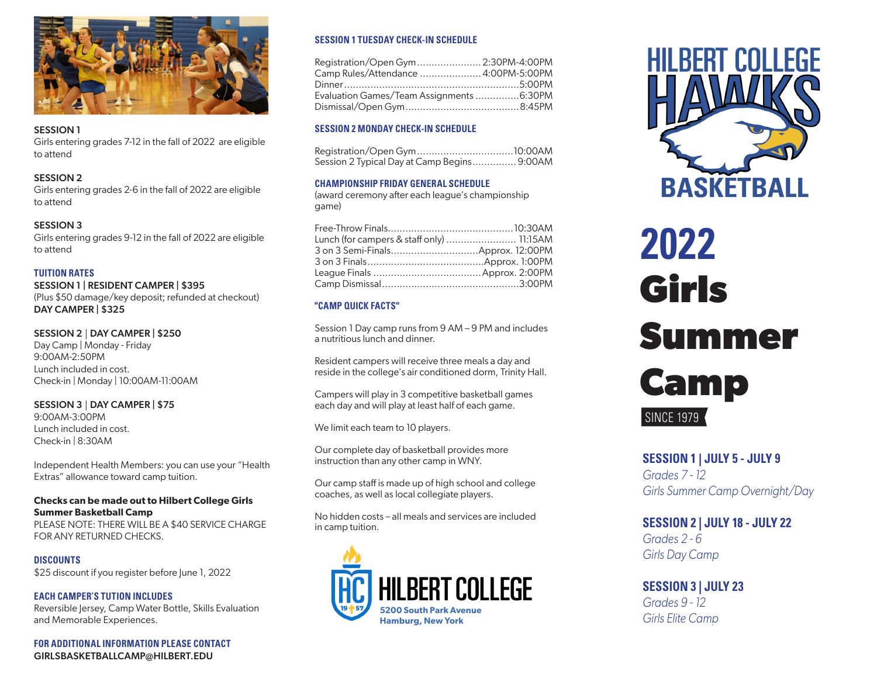

#### SESSION 1

Girls entering grades 7-12 in the fall of 2022 are eligible to attend

## SESSION 2

Girls entering grades 2-6 in the fall of 2022 are eligible to attend

## SESSION 3

Girls entering grades 9-12 in the fall of 2022 are eligible to attend

## **TUITION RATES**

SESSION 1 | RESIDENT CAMPER | \$395 (Plus \$50 damage/key deposit; refunded at checkout) DAY CAMPER | \$325

#### SESSION 2 | DAY CAMPER | \$250

Day Camp | Monday - Friday 9:00AM-2:50PM Lunch included in cost. Check-in | Monday | 10:00AM-11:00AM

#### SESSION 3 | DAY CAMPER | \$75

9:00AM-3:00PM Lunch included in cost. Check-in | 8:30AM

Independent Health Members: you can use your "Health Extras" allowance toward camp tuition.

## **Checks can be made out to Hilbert College Girls Summer Basketball Camp**

PLEASE NOTE: THERE WILL BE A \$40 SERVICE CHARGE FOR ANY RETURNED CHECKS.

## **DISCOUNTS**

\$25 discount if you register before June 1, 2022

## **EACH CAMPER'S TUTION INCLUDES**

Reversible Jersey, Camp Water Bottle, Skills Evaluation and Memorable Experiences.

**FOR ADDITIONAL INFORMATION PLEASE CONTACT** GIRLSBASKETBALLCAMP@HILBERT.EDU

## **SESSION 1 TUESDAY CHECK-IN SCHEDULE**

| Registration/Open Gym  2:30PM-4:00PM     |  |
|------------------------------------------|--|
| Camp Rules/Attendance  4:00PM-5:00PM     |  |
|                                          |  |
| Evaluation Games/Team Assignments 6:30PM |  |
|                                          |  |

## **SESSION 2 MONDAY CHECK-IN SCHEDULE**

| Session 2 Typical Day at Camp Begins 9:00AM |  |
|---------------------------------------------|--|

## **CHAMPIONSHIP FRIDAY GENERAL SCHEDULE**

(award ceremony after each league's championship game)

| Lunch (for campers & staff only)  11:15AM |  |
|-------------------------------------------|--|
|                                           |  |
|                                           |  |
|                                           |  |
|                                           |  |

## **"CAMP QUICK FACTS"**

Session 1 Day camp runs from 9 AM – 9 PM and includes a nutritious lunch and dinner.

Resident campers will receive three meals a day and reside in the college's air conditioned dorm, Trinity Hall.

Campers will play in 3 competitive basketball games each day and will play at least half of each game.

We limit each team to 10 players.

Our complete day of basketball provides more instruction than any other camp in WNY.

Our camp staff is made up of high school and college coaches, as well as local collegiate players.

No hidden costs – all meals and services are included in camp tuition.





# **Girls Summer Camp 2022 SINCE 1979**

## **SESSION 1 | JULY 5 - JULY 9**

*Grades 7 - 12 Girls Summer Camp Overnight/Day*

## **SESSION 2 | JULY 18 - JULY 22** *Grades 2 - 6*

*Girls Day Camp*

# **SESSION 3 | JULY 23**

*Grades 9 - 12 Girls Elite Camp*